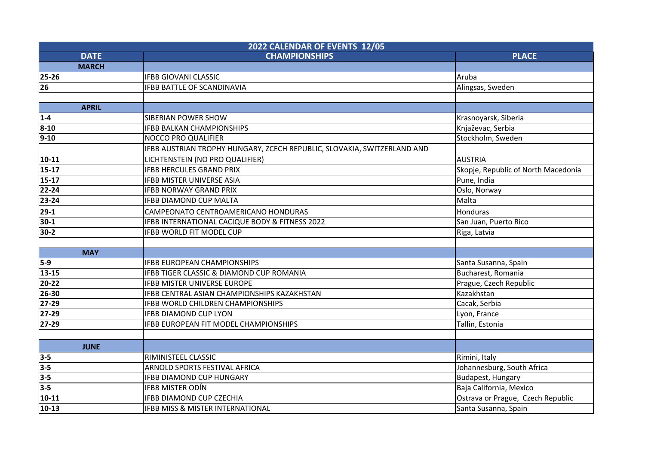| 2022 CALENDAR OF EVENTS 12/05 |                                                                         |                                     |  |
|-------------------------------|-------------------------------------------------------------------------|-------------------------------------|--|
| <b>DATE</b>                   | <b>CHAMPIONSHIPS</b>                                                    | <b>PLACE</b>                        |  |
| <b>MARCH</b>                  |                                                                         |                                     |  |
| 25-26                         | <b>IFBB GIOVANI CLASSIC</b>                                             | Aruba                               |  |
| 26                            | <b>IFBB BATTLE OF SCANDINAVIA</b>                                       | Alingsas, Sweden                    |  |
|                               |                                                                         |                                     |  |
| <b>APRIL</b>                  |                                                                         |                                     |  |
| $1 - 4$                       | <b>SIBERIAN POWER SHOW</b>                                              | Krasnoyarsk, Siberia                |  |
| $8 - 10$                      | <b>IFBB BALKAN CHAMPIONSHIPS</b>                                        | Knjaževac, Serbia                   |  |
| $9 - 10$                      | NOCCO PRO QUALIFIER                                                     | Stockholm, Sweden                   |  |
|                               | IFBB AUSTRIAN TROPHY HUNGARY, ZCECH REPUBLIC, SLOVAKIA, SWITZERLAND AND |                                     |  |
| $10-11$                       | LICHTENSTEIN (NO PRO QUALIFIER)                                         | <b>AUSTRIA</b>                      |  |
| $15 - 17$                     | <b>IFBB HERCULES GRAND PRIX</b>                                         | Skopje, Republic of North Macedonia |  |
| $15 - 17$                     | <b>IFBB MISTER UNIVERSE ASIA</b>                                        | Pune, India                         |  |
| 22-24                         | <b>IFBB NORWAY GRAND PRIX</b>                                           | Oslo, Norway                        |  |
| 23-24                         | <b>IFBB DIAMOND CUP MALTA</b>                                           | Malta                               |  |
| $29-1$                        | CAMPEONATO CENTROAMERICANO HONDURAS                                     | <b>Honduras</b>                     |  |
| $30-1$                        | IFBB INTERNATIONAL CACIQUE BODY & FITNESS 2022                          | San Juan, Puerto Rico               |  |
| $30-2$                        | <b>IFBB WORLD FIT MODEL CUP</b>                                         | Riga, Latvia                        |  |
|                               |                                                                         |                                     |  |
| <b>MAY</b>                    |                                                                         |                                     |  |
| $5-9$                         | <b>IFBB EUROPEAN CHAMPIONSHIPS</b>                                      | Santa Susanna, Spain                |  |
| $13 - 15$                     | IFBB TIGER CLASSIC & DIAMOND CUP ROMANIA                                | Bucharest, Romania                  |  |
| 20-22                         | <b>IFBB MISTER UNIVERSE EUROPE</b>                                      | Prague, Czech Republic              |  |
| 26-30                         | IFBB CENTRAL ASIAN CHAMPIONSHIPS KAZAKHSTAN                             | Kazakhstan                          |  |
| 27-29                         | <b>IFBB WORLD CHILDREN CHAMPIONSHIPS</b>                                | Cacak, Serbia                       |  |
| $27 - 29$                     | <b>IFBB DIAMOND CUP LYON</b>                                            | Lyon, France                        |  |
| $27 - 29$                     | IFBB EUROPEAN FIT MODEL CHAMPIONSHIPS                                   | Tallin, Estonia                     |  |
|                               |                                                                         |                                     |  |
| <b>JUNE</b>                   |                                                                         |                                     |  |
| $3-5$                         | RIMINISTEEL CLASSIC                                                     | Rimini, Italy                       |  |
| $3-5$                         | ARNOLD SPORTS FESTIVAL AFRICA                                           | Johannesburg, South Africa          |  |
| $3-5$                         | <b>IFBB DIAMOND CUP HUNGARY</b>                                         | Budapest, Hungary                   |  |
| $3-5$                         | IFBB MISTER ODÍN                                                        | Baja California, Mexico             |  |
| $10 - 11$                     | <b>IFBB DIAMOND CUP CZECHIA</b>                                         | Ostrava or Prague, Czech Republic   |  |
| $10-13$                       | IFBB MISS & MISTER INTERNATIONAL                                        | Santa Susanna, Spain                |  |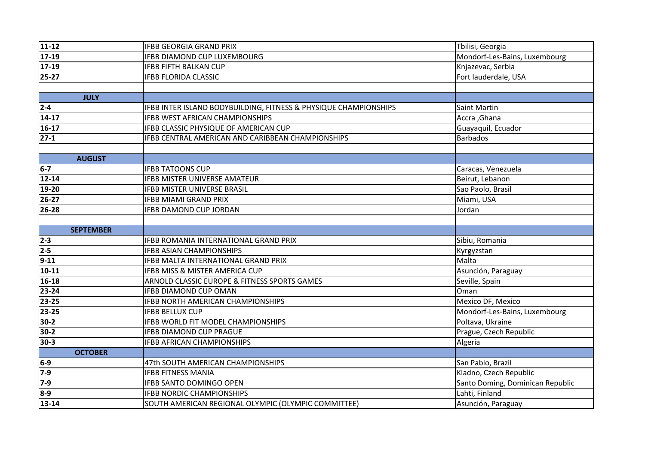| $11 - 12$        | <b>IFBB GEORGIA GRAND PRIX</b>                                   | Tbilisi, Georgia                 |
|------------------|------------------------------------------------------------------|----------------------------------|
| $17-19$          | <b>IFBB DIAMOND CUP LUXEMBOURG</b>                               | Mondorf-Les-Bains, Luxembourg    |
| $17-19$          | <b>IFBB FIFTH BALKAN CUP</b>                                     | Knjazevac, Serbia                |
| $ 25-27 $        | <b>IFBB FLORIDA CLASSIC</b>                                      | Fort lauderdale, USA             |
|                  |                                                                  |                                  |
| <b>JULY</b>      |                                                                  |                                  |
| $2 - 4$          | IFBB INTER ISLAND BODYBUILDING, FITNESS & PHYSIQUE CHAMPIONSHIPS | <b>Saint Martin</b>              |
| $ 14-17 $        | IFBB WEST AFRICAN CHAMPIONSHIPS                                  | Accra, Ghana                     |
| $16-17$          | IFBB CLASSIC PHYSIQUE OF AMERICAN CUP                            | Guayaquil, Ecuador               |
| $ 27-1 $         | IFBB CENTRAL AMERICAN AND CARIBBEAN CHAMPIONSHIPS                | <b>Barbados</b>                  |
|                  |                                                                  |                                  |
| <b>AUGUST</b>    |                                                                  |                                  |
| $6-7$            | <b>IFBB TATOONS CUP</b>                                          | Caracas, Venezuela               |
| $12 - 14$        | <b>IFBB MISTER UNIVERSE AMATEUR</b>                              | Beirut, Lebanon                  |
| 19-20            | <b>IFBB MISTER UNIVERSE BRASIL</b>                               | Sao Paolo, Brasil                |
| $26 - 27$        | <b>IFBB MIAMI GRAND PRIX</b>                                     | Miami, USA                       |
| 26-28            | <b>IFBB DAMOND CUP JORDAN</b>                                    | Jordan                           |
|                  |                                                                  |                                  |
| <b>SEPTEMBER</b> |                                                                  |                                  |
| $ 2-3 $          | IFBB ROMANIA INTERNATIONAL GRAND PRIX                            | Sibiu, Romania                   |
| $2 - 5$          | <b>IFBB ASIAN CHAMPIONSHIPS</b>                                  | Kyrgyzstan                       |
| $9-11$           | IFBB MALTA INTERNATIONAL GRAND PRIX                              | Malta                            |
| $10-11$          | IFBB MISS & MISTER AMERICA CUP                                   | Asunción, Paraguay               |
| $16 - 18$        | ARNOLD CLASSIC EUROPE & FITNESS SPORTS GAMES                     | Seville, Spain                   |
| 23-24            | <b>IFBB DIAMOND CUP OMAN</b>                                     | Oman                             |
| 23-25            | <b>IFBB NORTH AMERICAN CHAMPIONSHIPS</b>                         | Mexico DF, Mexico                |
| 23-25            | <b>IFBB BELLUX CUP</b>                                           | Mondorf-Les-Bains, Luxembourg    |
| $30-2$           | IFBB WORLD FIT MODEL CHAMPIONSHIPS                               | Poltava, Ukraine                 |
| 30-2             | <b>IFBB DIAMOND CUP PRAGUE</b>                                   | Prague, Czech Republic           |
| 30-3             | <b>IFBB AFRICAN CHAMPIONSHIPS</b>                                | Algeria                          |
| <b>OCTOBER</b>   |                                                                  |                                  |
| $6-9$            |                                                                  |                                  |
|                  | 47th SOUTH AMERICAN CHAMPIONSHIPS                                | San Pablo, Brazil                |
| $7-9$            | <b>IFBB FITNESS MANIA</b>                                        | Kladno, Czech Republic           |
| $7-9$            | <b>IFBB SANTO DOMINGO OPEN</b>                                   | Santo Doming, Dominican Republic |
| $8-9$            | <b>IFBB NORDIC CHAMPIONSHIPS</b>                                 | Lahti, Finland                   |